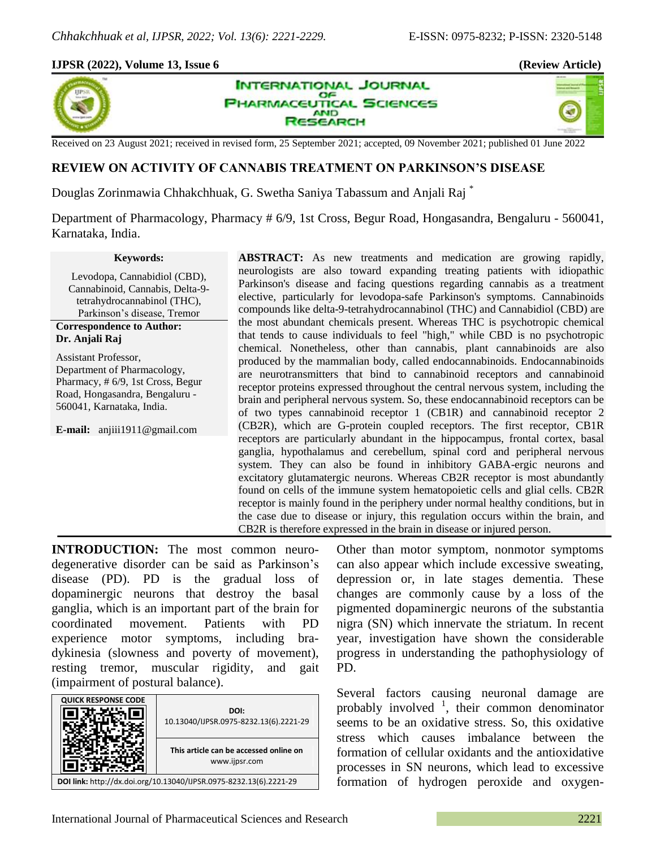×,

## **IJPSR (2022), Volume 13, Issue 6 (Review Article)**



**INTERNATIONAL JOURNAL** OF **PHARMACEUTICAL SCIENCES AND** RESEARCH

Received on 23 August 2021; received in revised form, 25 September 2021; accepted, 09 November 2021; published 01 June 2022

# **REVIEW ON ACTIVITY OF CANNABIS TREATMENT ON PARKINSON'S DISEASE**

Douglas Zorinmawia Chhakchhuak, G. Swetha Saniya Tabassum and Anjali Raj \*

Department of Pharmacology, Pharmacy # 6/9, 1st Cross, Begur Road, Hongasandra, Bengaluru - 560041, Karnataka, India.

#### **Keywords:**

Levodopa, Cannabidiol (CBD), Cannabinoid, Cannabis, Delta-9 tetrahydrocannabinol (THC), Parkinson's disease, Tremor

#### **Correspondence to Author: Dr. Anjali Raj**

Assistant Professor, Department of Pharmacology, Pharmacy, # 6/9, 1st Cross, Begur Road, Hongasandra, Bengaluru - 560041, Karnataka, India.

**E-mail:** anjiii1911@gmail.com

**ABSTRACT:** As new treatments and medication are growing rapidly, neurologists are also toward expanding treating patients with idiopathic Parkinson's disease and facing questions regarding cannabis as a treatment elective, particularly for levodopa-safe Parkinson's symptoms. Cannabinoids compounds like delta-9-tetrahydrocannabinol (THC) and Cannabidiol (CBD) are the most abundant chemicals present. Whereas THC is psychotropic chemical that tends to cause individuals to feel "high," while CBD is no psychotropic chemical. Nonetheless, other than cannabis, plant cannabinoids are also produced by the mammalian body, called endocannabinoids. Endocannabinoids are neurotransmitters that bind to cannabinoid receptors and cannabinoid receptor proteins expressed throughout the central nervous system, including the brain and peripheral nervous system. So, these endocannabinoid receptors can be of two types cannabinoid receptor 1 (CB1R) and cannabinoid receptor 2 (CB2R), which are G-protein coupled receptors. The first receptor, CB1R receptors are particularly abundant in the hippocampus, frontal cortex, basal ganglia, hypothalamus and cerebellum, spinal cord and peripheral nervous system. They can also be found in inhibitory GABA-ergic neurons and excitatory glutamatergic neurons. Whereas CB2R receptor is most abundantly found on cells of the immune system hematopoietic cells and glial cells. CB2R receptor is mainly found in the periphery under normal healthy conditions, but in the case due to disease or injury, this regulation occurs within the brain, and CB2R is therefore expressed in the brain in disease or injured person.

**INTRODUCTION:** The most common neurodegenerative disorder can be said as Parkinson's disease (PD). PD is the gradual loss of dopaminergic neurons that destroy the basal ganglia, which is an important part of the brain for coordinated movement. Patients with PD experience motor symptoms, including bradykinesia (slowness and poverty of movement), resting tremor, muscular rigidity, and gait (impairment of postural balance).



Other than motor symptom, nonmotor symptoms can also appear which include excessive sweating, depression or, in late stages dementia. These changes are commonly cause by a loss of the pigmented dopaminergic neurons of the substantia nigra (SN) which innervate the striatum. In recent year, investigation have shown the considerable progress in understanding the pathophysiology of PD.

Several factors causing neuronal damage are probably involved  $\frac{1}{1}$ , their common denominator seems to be an oxidative stress. So, this oxidative stress which causes imbalance between the formation of cellular oxidants and the antioxidative processes in SN neurons, which lead to excessive formation of hydrogen peroxide and oxygen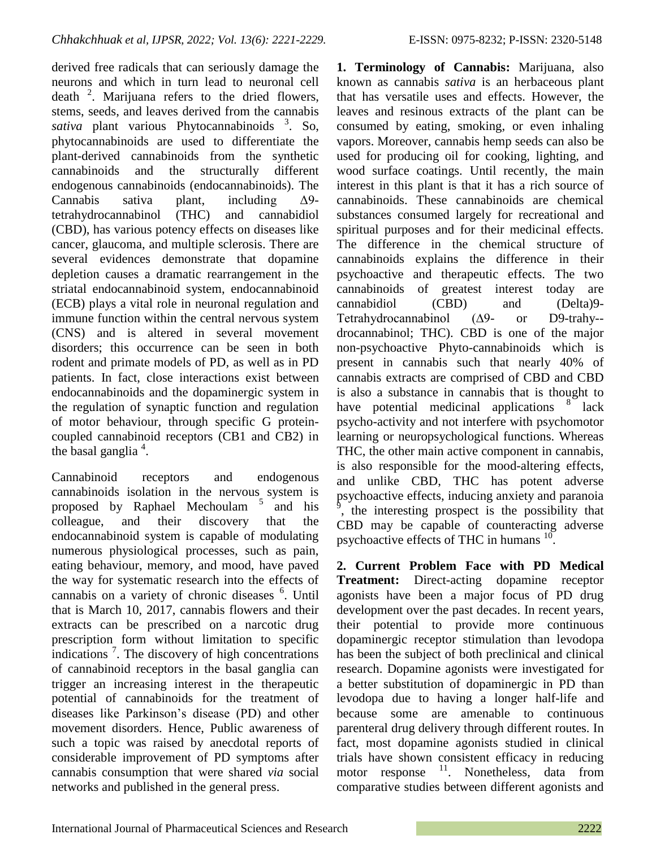derived free radicals that can seriously damage the neurons and which in turn lead to neuronal cell death  $2$ . Marijuana refers to the dried flowers, stems, seeds, and leaves derived from the cannabis sativa plant various Phytocannabinoids <sup>3</sup>. So, phytocannabinoids are used to differentiate the plant-derived cannabinoids from the synthetic cannabinoids and the structurally different endogenous cannabinoids (endocannabinoids). The Cannabis sativa plant, including Δ9 tetrahydrocannabinol (THC) and cannabidiol (CBD), has various potency effects on diseases like cancer, glaucoma, and multiple sclerosis. There are several evidences demonstrate that dopamine depletion causes a dramatic rearrangement in the striatal endocannabinoid system, endocannabinoid (ECB) plays a vital role in neuronal regulation and immune function within the central nervous system (CNS) and is altered in several movement disorders; this occurrence can be seen in both rodent and primate models of PD, as well as in PD patients. In fact, close interactions exist between endocannabinoids and the dopaminergic system in the regulation of synaptic function and regulation of motor behaviour, through specific G proteincoupled cannabinoid receptors (CB1 and CB2) in the basal ganglia  $4$ .

Cannabinoid receptors and endogenous cannabinoids isolation in the nervous system is proposed by Raphael Mechoulam<sup>5</sup> and his colleague, and their discovery that the endocannabinoid system is capable of modulating numerous physiological processes, such as pain, eating behaviour, memory, and mood, have paved the way for systematic research into the effects of cannabis on a variety of chronic diseases <sup>6</sup>. Until that is March 10, 2017, cannabis flowers and their extracts can be prescribed on a narcotic drug prescription form without limitation to specific indications<sup>7</sup>. The discovery of high concentrations of cannabinoid receptors in the basal ganglia can trigger an increasing interest in the therapeutic potential of cannabinoids for the treatment of diseases like Parkinson's disease (PD) and other movement disorders. Hence, Public awareness of such a topic was raised by anecdotal reports of considerable improvement of PD symptoms after cannabis consumption that were shared *via* social networks and published in the general press.

**1. Terminology of Cannabis:** Marijuana, also known as cannabis *sativa* is an herbaceous plant that has versatile uses and effects. However, the leaves and resinous extracts of the plant can be consumed by eating, smoking, or even inhaling vapors. Moreover, cannabis hemp seeds can also be used for producing oil for cooking, lighting, and wood surface coatings. Until recently, the main interest in this plant is that it has a rich source of cannabinoids. These cannabinoids are chemical substances consumed largely for recreational and spiritual purposes and for their medicinal effects. The difference in the chemical structure of cannabinoids explains the difference in their psychoactive and therapeutic effects. The two cannabinoids of greatest interest today are cannabidiol (CBD) and (Delta)9- Tetrahydrocannabinol (∆9- or D9-trahy- drocannabinol; THC). CBD is one of the major non-psychoactive Phyto-cannabinoids which is present in cannabis such that nearly 40% of cannabis extracts are comprised of CBD and CBD is also a substance in cannabis that is thought to have potential medicinal applications <sup>8</sup> lack psycho-activity and not interfere with psychomotor learning or neuropsychological functions. Whereas THC, the other main active component in cannabis, is also responsible for the mood-altering effects, and unlike CBD, THC has potent adverse psychoactive effects, inducing anxiety and paranoia  $\frac{1}{9}$ , the interesting prospect is the possibility that CBD may be capable of counteracting adverse psychoactive effects of THC in humans  $10$ .

**2. Current Problem Face with PD Medical Treatment:** Direct-acting dopamine receptor agonists have been a major focus of PD drug development over the past decades. In recent years, their potential to provide more continuous dopaminergic receptor stimulation than levodopa has been the subject of both preclinical and clinical research. Dopamine agonists were investigated for a better substitution of dopaminergic in PD than levodopa due to having a longer half-life and because some are amenable to continuous parenteral drug delivery through different routes. In fact, most dopamine agonists studied in clinical trials have shown consistent efficacy in reducing motor response <sup>11</sup>. Nonetheless, data from comparative studies between different agonists and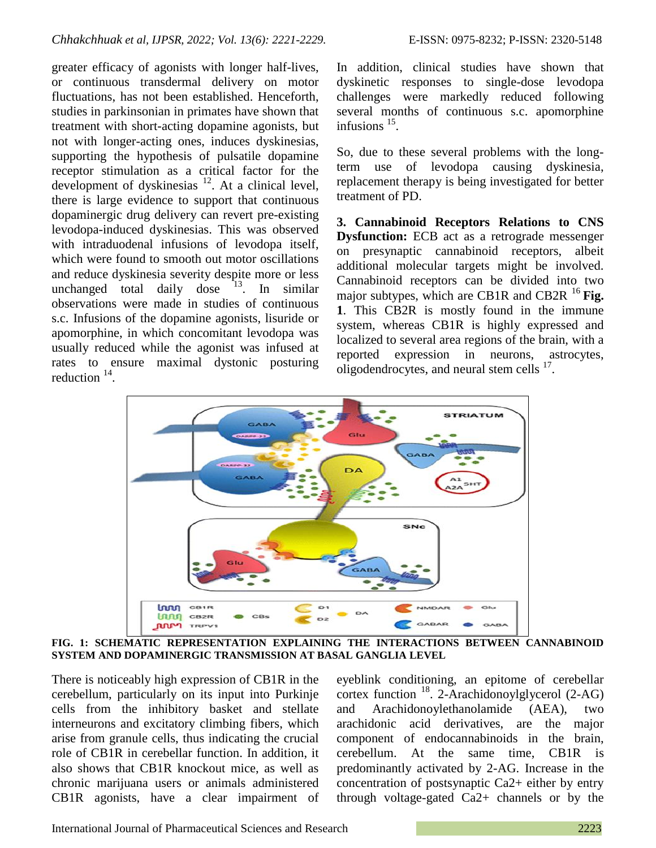greater efficacy of agonists with longer half-lives, or continuous transdermal delivery on motor fluctuations, has not been established. Henceforth, studies in parkinsonian in primates have shown that treatment with short-acting dopamine agonists, but not with longer-acting ones, induces dyskinesias, supporting the hypothesis of pulsatile dopamine receptor stimulation as a critical factor for the development of dyskinesias  $^{12}$ . At a clinical level, there is large evidence to support that continuous dopaminergic drug delivery can revert pre-existing levodopa-induced dyskinesias. This was observed with intraduodenal infusions of levodopa itself, which were found to smooth out motor oscillations and reduce dyskinesia severity despite more or less unchanged total daily dose  $13$ . In similar observations were made in studies of continuous s.c. Infusions of the dopamine agonists, lisuride or apomorphine, in which concomitant levodopa was usually reduced while the agonist was infused at rates to ensure maximal dystonic posturing reduction <sup>14</sup>.

In addition, clinical studies have shown that dyskinetic responses to single-dose levodopa challenges were markedly reduced following several months of continuous s.c. apomorphine infusions <sup>15</sup>.

So, due to these several problems with the longterm use of levodopa causing dyskinesia, replacement therapy is being investigated for better treatment of PD.

**3. Cannabinoid Receptors Relations to CNS Dysfunction:** ECB act as a retrograde messenger on presynaptic cannabinoid receptors, albeit additional molecular targets might be involved. Cannabinoid receptors can be divided into two major subtypes, which are CB1R and CB2R <sup>16</sup> Fig. **1**. This CB2R is mostly found in the immune system, whereas CB1R is highly expressed and localized to several area regions of the brain, with a reported expression in neurons, astrocytes, oligodendrocytes, and neural stem cells  $17$ .



**FIG. 1: SCHEMATIC REPRESENTATION EXPLAINING THE INTERACTIONS BETWEEN CANNABINOID SYSTEM AND DOPAMINERGIC TRANSMISSION AT BASAL GANGLIA LEVEL**

There is noticeably high expression of CB1R in the cerebellum, particularly on its input into Purkinje cells from the inhibitory basket and stellate interneurons and excitatory climbing fibers, which arise from granule cells, thus indicating the crucial role of CB1R in cerebellar function. In addition, it also shows that CB1R knockout mice, as well as chronic marijuana users or animals administered CB1R agonists, have a clear impairment of

eyeblink conditioning, an epitome of cerebellar cortex function <sup>18</sup>. 2-Arachidonoylglycerol (2-AG) and Arachidonoylethanolamide (AEA), two arachidonic acid derivatives, are the major component of endocannabinoids in the brain, cerebellum. At the same time, CB1R is predominantly activated by 2-AG. Increase in the concentration of postsynaptic Ca2+ either by entry through voltage-gated Ca2+ channels or by the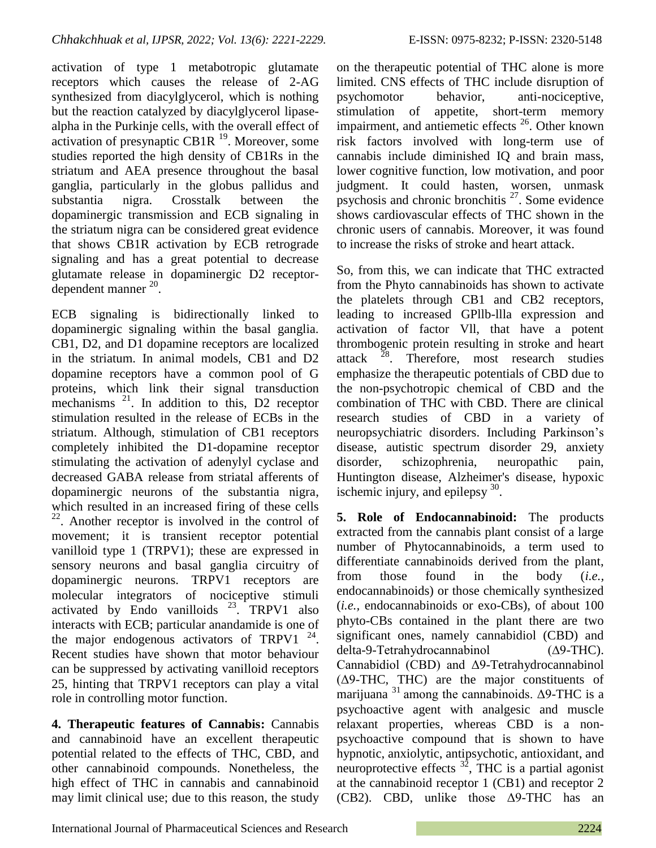activation of type 1 metabotropic glutamate receptors which causes the release of 2-AG synthesized from diacylglycerol, which is nothing but the reaction catalyzed by diacylglycerol lipasealpha in the Purkinje cells, with the overall effect of activation of presynaptic CB1R<sup>19</sup>. Moreover, some studies reported the high density of CB1Rs in the striatum and AEA presence throughout the basal ganglia, particularly in the globus pallidus and substantia nigra. Crosstalk between the dopaminergic transmission and ECB signaling in the striatum nigra can be considered great evidence that shows CB1R activation by ECB retrograde signaling and has a great potential to decrease glutamate release in dopaminergic D2 receptordependent manner  $20$ .

ECB signaling is bidirectionally linked to dopaminergic signaling within the basal ganglia. CB1, D2, and D1 dopamine receptors are localized in the striatum. In animal models, CB1 and D2 dopamine receptors have a common pool of G proteins, which link their signal transduction mechanisms  $21$ . In addition to this, D2 receptor stimulation resulted in the release of ECBs in the striatum. Although, stimulation of CB1 receptors completely inhibited the D1-dopamine receptor stimulating the activation of adenylyl cyclase and decreased GABA release from striatal afferents of dopaminergic neurons of the substantia nigra, which resulted in an increased firing of these cells 22 . Another receptor is involved in the control of movement; it is transient receptor potential vanilloid type 1 (TRPV1); these are expressed in sensory neurons and basal ganglia circuitry of dopaminergic neurons. TRPV1 receptors are molecular integrators of nociceptive stimuli activated by Endo vanilloids  $^{23}$ . TRPV1 also interacts with ECB; particular anandamide is one of the major endogenous activators of TRPV1  $^{24}$ . Recent studies have shown that motor behaviour can be suppressed by activating vanilloid receptors 25, hinting that TRPV1 receptors can play a vital role in controlling motor function.

**4. Therapeutic features of Cannabis:** Cannabis and cannabinoid have an excellent therapeutic potential related to the effects of THC, CBD, and other cannabinoid compounds. Nonetheless, the high effect of THC in cannabis and cannabinoid may limit clinical use; due to this reason, the study on the therapeutic potential of THC alone is more limited. CNS effects of THC include disruption of psychomotor behavior, anti-nociceptive, stimulation of appetite, short-term memory impairment, and antiemetic effects  $^{26}$ . Other known risk factors involved with long-term use of cannabis include diminished IQ and brain mass, lower cognitive function, low motivation, and poor judgment. It could hasten, worsen, unmask psychosis and chronic bronchitis  $27$ . Some evidence shows cardiovascular effects of THC shown in the chronic users of cannabis. Moreover, it was found to increase the risks of stroke and heart attack.

So, from this, we can indicate that THC extracted from the Phyto cannabinoids has shown to activate the platelets through CB1 and CB2 receptors, leading to increased GPllb-llla expression and activation of factor Vll, that have a potent thrombogenic protein resulting in stroke and heart attack  $^{28}$ . Therefore, most research studies emphasize the therapeutic potentials of CBD due to the non-psychotropic chemical of CBD and the combination of THC with CBD. There are clinical research studies of CBD in a variety of neuropsychiatric disorders. Including Parkinson's disease, autistic spectrum disorder 29, anxiety disorder, schizophrenia, neuropathic pain, Huntington disease, Alzheimer's disease, hypoxic ischemic injury, and epilepsy  $30$ .

**5. Role of Endocannabinoid:** The products extracted from the cannabis plant consist of a large number of Phytocannabinoids, a term used to differentiate cannabinoids derived from the plant, from those found in the body (*i.e.,* endocannabinoids) or those chemically synthesized (*i.e.,* endocannabinoids or exo-CBs), of about 100 phyto-CBs contained in the plant there are two significant ones, namely cannabidiol (CBD) and delta-9-Tetrahydrocannabinol (∆9-THC). Cannabidiol (CBD) and Δ9-Tetrahydrocannabinol (Δ9-THC, THC) are the major constituents of marijuana  $31$  among the cannabinoids.  $\Delta$ 9-THC is a psychoactive agent with analgesic and muscle relaxant properties, whereas CBD is a nonpsychoactive compound that is shown to have hypnotic, anxiolytic, antipsychotic, antioxidant, and neuroprotective effects  $3^2$ , THC is a partial agonist at the cannabinoid receptor 1 (CB1) and receptor 2 (CB2). CBD, unlike those Δ9-THC has an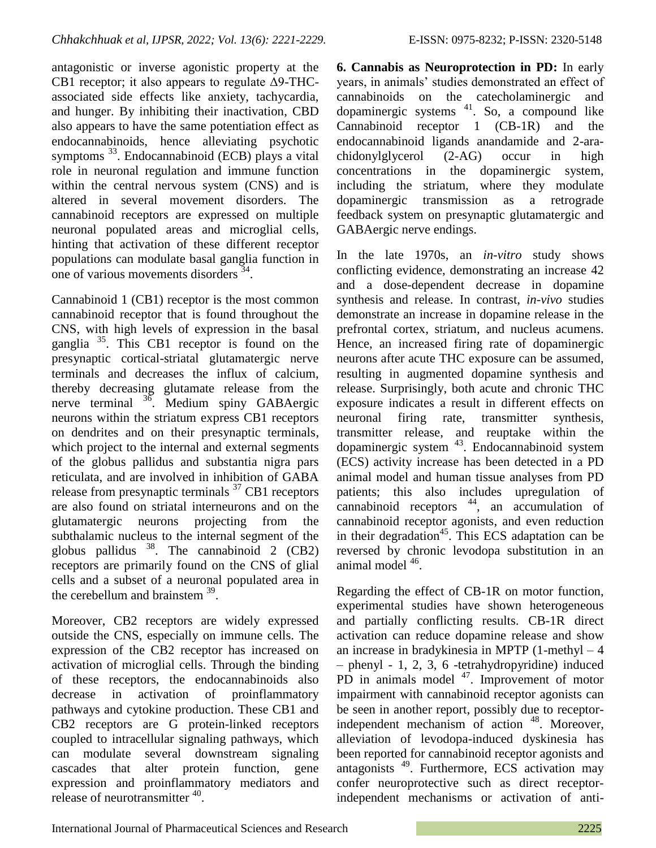antagonistic or inverse agonistic property at the CB1 receptor; it also appears to regulate Δ9-THCassociated side effects like anxiety, tachycardia, and hunger. By inhibiting their inactivation, CBD also appears to have the same potentiation effect as endocannabinoids, hence alleviating psychotic symptoms<sup>33</sup>. Endocannabinoid (ECB) plays a vital role in neuronal regulation and immune function within the central nervous system (CNS) and is altered in several movement disorders. The cannabinoid receptors are expressed on multiple neuronal populated areas and microglial cells, hinting that activation of these different receptor populations can modulate basal ganglia function in one of various movements disorders  $34$ .

Cannabinoid 1 (CB1) receptor is the most common cannabinoid receptor that is found throughout the CNS, with high levels of expression in the basal ganglia <sup>35</sup>. This CB1 receptor is found on the presynaptic cortical-striatal glutamatergic nerve terminals and decreases the influx of calcium, thereby decreasing glutamate release from the nerve terminal <sup>36</sup>. Medium spiny GABAergic neurons within the striatum express CB1 receptors on dendrites and on their presynaptic terminals, which project to the internal and external segments of the globus pallidus and substantia nigra pars reticulata, and are involved in inhibition of GABA release from presynaptic terminals  $37$  CB1 receptors are also found on striatal interneurons and on the glutamatergic neurons projecting from the subthalamic nucleus to the internal segment of the globus pallidus  $38$ . The cannabinoid 2 (CB2) receptors are primarily found on the CNS of glial cells and a subset of a neuronal populated area in the cerebellum and brainstem  $39$ .

Moreover, CB2 receptors are widely expressed outside the CNS, especially on immune cells. The expression of the CB2 receptor has increased on activation of microglial cells. Through the binding of these receptors, the endocannabinoids also decrease in activation of proinflammatory pathways and cytokine production. These CB1 and CB2 receptors are G protein-linked receptors coupled to intracellular signaling pathways, which can modulate several downstream signaling cascades that alter protein function, gene expression and proinflammatory mediators and release of neurotransmitter <sup>40</sup>.

**6. Cannabis as Neuroprotection in PD:** In early years, in animals' studies demonstrated an effect of cannabinoids on the catecholaminergic and dopaminergic systems  $41$ . So, a compound like Cannabinoid receptor 1 (CB-1R) and the endocannabinoid ligands anandamide and 2-arachidonylglycerol (2-AG) occur in high concentrations in the dopaminergic system, including the striatum, where they modulate dopaminergic transmission as a retrograde feedback system on presynaptic glutamatergic and GABAergic nerve endings.

In the late 1970s, an *in-vitro* study shows conflicting evidence, demonstrating an increase 42 and a dose-dependent decrease in dopamine synthesis and release. In contrast, *in-vivo* studies demonstrate an increase in dopamine release in the prefrontal cortex, striatum, and nucleus acumens. Hence, an increased firing rate of dopaminergic neurons after acute THC exposure can be assumed, resulting in augmented dopamine synthesis and release. Surprisingly, both acute and chronic THC exposure indicates a result in different effects on neuronal firing rate, transmitter synthesis, transmitter release, and reuptake within the dopaminergic system  $43$ . Endocannabinoid system (ECS) activity increase has been detected in a PD animal model and human tissue analyses from PD patients; this also includes upregulation of cannabinoid receptors  $44$ , an accumulation of cannabinoid receptor agonists, and even reduction in their degradation<sup>45</sup>. This ECS adaptation can be reversed by chronic levodopa substitution in an animal model <sup>46</sup>.

Regarding the effect of CB-1R on motor function, experimental studies have shown heterogeneous and partially conflicting results. CB-1R direct activation can reduce dopamine release and show an increase in bradykinesia in MPTP (1-methyl – 4 – phenyl - 1, 2, 3, 6 -tetrahydropyridine) induced PD in animals model <sup>47</sup>. Improvement of motor impairment with cannabinoid receptor agonists can be seen in another report, possibly due to receptorindependent mechanism of action <sup>48</sup>. Moreover, alleviation of levodopa-induced dyskinesia has been reported for cannabinoid receptor agonists and antagonists<sup>49</sup>. Furthermore, ECS activation may confer neuroprotective such as direct receptorindependent mechanisms or activation of anti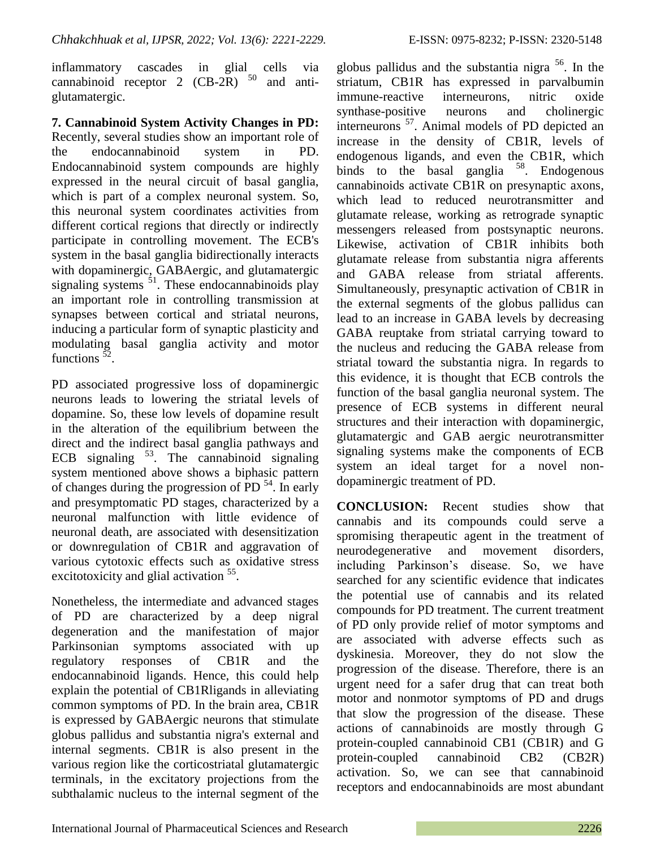inflammatory cascades in glial cells via cannabinoid receptor 2  $(CB-2R)$  <sup>50</sup> and antiglutamatergic.

**7. Cannabinoid System Activity Changes in PD:**  Recently, several studies show an important role of the endocannabinoid system in PD. Endocannabinoid system compounds are highly expressed in the neural circuit of basal ganglia, which is part of a complex neuronal system. So, this neuronal system coordinates activities from different cortical regions that directly or indirectly participate in controlling movement. The ECB's system in the basal ganglia bidirectionally interacts with dopaminergic, GABAergic, and glutamatergic signaling systems  $51$ . These endocannabinoids play an important role in controlling transmission at synapses between cortical and striatal neurons, inducing a particular form of synaptic plasticity and modulating basal ganglia activity and motor functions  $\frac{52}{2}$ .

PD associated progressive loss of dopaminergic neurons leads to lowering the striatal levels of dopamine. So, these low levels of dopamine result in the alteration of the equilibrium between the direct and the indirect basal ganglia pathways and ECB signaling  $53$ . The cannabinoid signaling system mentioned above shows a biphasic pattern of changes during the progression of PD  $<sup>54</sup>$ . In early</sup> and presymptomatic PD stages, characterized by a neuronal malfunction with little evidence of neuronal death, are associated with desensitization or downregulation of CB1R and aggravation of various cytotoxic effects such as oxidative stress excitotoxicity and glial activation <sup>55</sup>.

Nonetheless, the intermediate and advanced stages of PD are characterized by a deep nigral degeneration and the manifestation of major Parkinsonian symptoms associated with up regulatory responses of CB1R and the endocannabinoid ligands. Hence, this could help explain the potential of CB1Rligands in alleviating common symptoms of PD. In the brain area, CB1R is expressed by GABAergic neurons that stimulate globus pallidus and substantia nigra's external and internal segments. CB1R is also present in the various region like the corticostriatal glutamatergic terminals, in the excitatory projections from the subthalamic nucleus to the internal segment of the

globus pallidus and the substantia nigra  $56$ . In the striatum, CB1R has expressed in parvalbumin immune-reactive interneurons, nitric oxide synthase-positive neurons and cholinergic interneurons <sup>57</sup>. Animal models of PD depicted an increase in the density of CB1R, levels of endogenous ligands, and even the CB1R, which binds to the basal ganglia <sup>58</sup>. Endogenous cannabinoids activate CB1R on presynaptic axons, which lead to reduced neurotransmitter and glutamate release, working as retrograde synaptic messengers released from postsynaptic neurons. Likewise, activation of CB1R inhibits both glutamate release from substantia nigra afferents and GABA release from striatal afferents. Simultaneously, presynaptic activation of CB1R in the external segments of the globus pallidus can lead to an increase in GABA levels by decreasing GABA reuptake from striatal carrying toward to the nucleus and reducing the GABA release from striatal toward the substantia nigra. In regards to this evidence, it is thought that ECB controls the function of the basal ganglia neuronal system. The presence of ECB systems in different neural structures and their interaction with dopaminergic, glutamatergic and GAB aergic neurotransmitter signaling systems make the components of ECB system an ideal target for a novel nondopaminergic treatment of PD.

**CONCLUSION:** Recent studies show that cannabis and its compounds could serve a spromising therapeutic agent in the treatment of neurodegenerative and movement disorders, including Parkinson's disease. So, we have searched for any scientific evidence that indicates the potential use of cannabis and its related compounds for PD treatment. The current treatment of PD only provide relief of motor symptoms and are associated with adverse effects such as dyskinesia. Moreover, they do not slow the progression of the disease. Therefore, there is an urgent need for a safer drug that can treat both motor and nonmotor symptoms of PD and drugs that slow the progression of the disease. These actions of cannabinoids are mostly through G protein-coupled cannabinoid CB1 (CB1R) and G protein-coupled cannabinoid CB2 (CB2R) activation. So, we can see that cannabinoid receptors and endocannabinoids are most abundant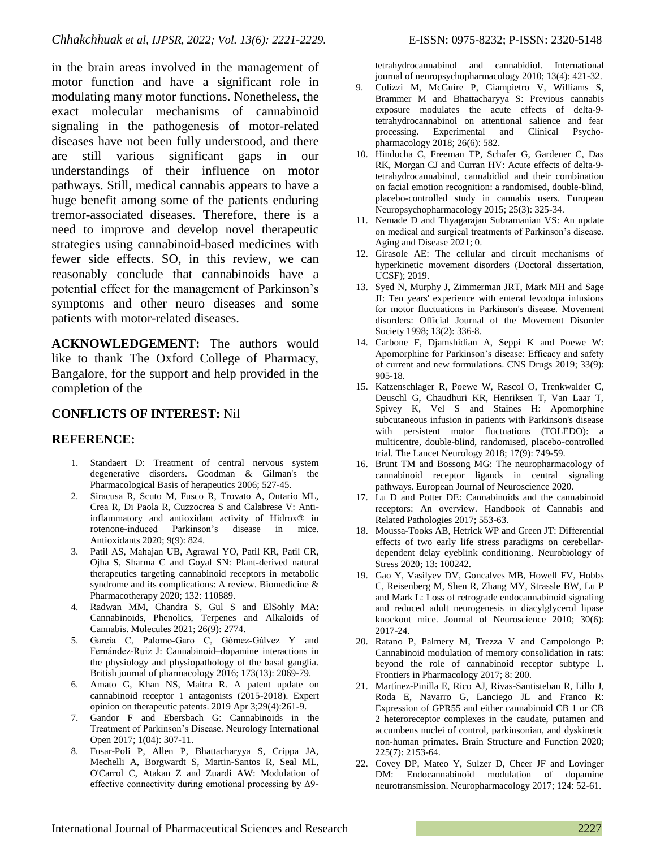in the brain areas involved in the management of motor function and have a significant role in modulating many motor functions. Nonetheless, the exact molecular mechanisms of cannabinoid signaling in the pathogenesis of motor-related diseases have not been fully understood, and there are still various significant gaps in our understandings of their influence on motor pathways. Still, medical cannabis appears to have a huge benefit among some of the patients enduring tremor-associated diseases. Therefore, there is a need to improve and develop novel therapeutic strategies using cannabinoid-based medicines with fewer side effects. SO, in this review, we can reasonably conclude that cannabinoids have a potential effect for the management of Parkinson's symptoms and other neuro diseases and some patients with motor-related diseases.

**ACKNOWLEDGEMENT:** The authors would like to thank The Oxford College of Pharmacy, Bangalore, for the support and help provided in the completion of the

## **CONFLICTS OF INTEREST:** Nil

## **REFERENCE:**

- 1. Standaert D: Treatment of central nervous system degenerative disorders. Goodman & Gilman's the Pharmacological Basis of herapeutics 2006; 527-45.
- 2. Siracusa R, Scuto M, Fusco R, Trovato A, Ontario ML, Crea R, Di Paola R, Cuzzocrea S and Calabrese V: Antiinflammatory and antioxidant activity of Hidrox® in rotenone-induced Parkinson's disease in mice. Antioxidants 2020; 9(9): 824.
- 3. Patil AS, Mahajan UB, Agrawal YO, Patil KR, Patil CR, Ojha S, Sharma C and Goyal SN: Plant-derived natural therapeutics targeting cannabinoid receptors in metabolic syndrome and its complications: A review. Biomedicine & Pharmacotherapy 2020; 132: 110889.
- 4. Radwan MM, Chandra S, Gul S and ElSohly MA: Cannabinoids, Phenolics, Terpenes and Alkaloids of Cannabis. Molecules 2021; 26(9): 2774.
- 5. García C, Palomo‐Garo C, Gómez‐Gálvez Y and Fernández‐Ruiz J: Cannabinoid–dopamine interactions in the physiology and physiopathology of the basal ganglia. British journal of pharmacology 2016; 173(13): 2069-79.
- 6. Amato G, Khan NS, Maitra R. A patent update on cannabinoid receptor 1 antagonists (2015-2018). Expert opinion on therapeutic patents. 2019 Apr 3;29(4):261-9.
- 7. Gandor F and Ebersbach G: Cannabinoids in the Treatment of Parkinson's Disease. Neurology International Open 2017; 1(04): 307-11.
- 8. Fusar-Poli P, Allen P, Bhattacharyya S, Crippa JA, Mechelli A, Borgwardt S, Martin-Santos R, Seal ML, O'Carrol C, Atakan Z and Zuardi AW: Modulation of effective connectivity during emotional processing by  $\Delta$ 9-

tetrahydrocannabinol and cannabidiol. International journal of neuropsychopharmacology 2010; 13(4): 421-32.

- 9. Colizzi M, McGuire P, Giampietro V, Williams S, Brammer M and Bhattacharyya S: Previous cannabis exposure modulates the acute effects of delta-9 tetrahydrocannabinol on attentional salience and fear processing. Experimental and Clinical Psychopharmacology 2018; 26(6): 582.
- 10. Hindocha C, Freeman TP, Schafer G, Gardener C, Das RK, Morgan CJ and Curran HV: Acute effects of delta-9 tetrahydrocannabinol, cannabidiol and their combination on facial emotion recognition: a randomised, double-blind, placebo-controlled study in cannabis users. European Neuropsychopharmacology 2015; 25(3): 325-34.
- 11. Nemade D and Thyagarajan Subramanian VS: An update on medical and surgical treatments of Parkinson's disease. Aging and Disease 2021; 0.
- 12. Girasole AE: The cellular and circuit mechanisms of hyperkinetic movement disorders (Doctoral dissertation, UCSF); 2019.
- 13. Syed N, Murphy J, Zimmerman JRT, Mark MH and Sage JI: Ten years' experience with enteral levodopa infusions for motor fluctuations in Parkinson's disease. Movement disorders: Official Journal of the Movement Disorder Society 1998; 13(2): 336-8.
- 14. Carbone F, Djamshidian A, Seppi K and Poewe W: Apomorphine for Parkinson's disease: Efficacy and safety of current and new formulations. CNS Drugs 2019; 33(9): 905-18.
- 15. Katzenschlager R, Poewe W, Rascol O, Trenkwalder C, Deuschl G, Chaudhuri KR, Henriksen T, Van Laar T, Spivey K, Vel S and Staines H: Apomorphine subcutaneous infusion in patients with Parkinson's disease with persistent motor fluctuations (TOLEDO): a multicentre, double-blind, randomised, placebo-controlled trial. The Lancet Neurology 2018; 17(9): 749-59.
- 16. Brunt TM and Bossong MG: The neuropharmacology of cannabinoid receptor ligands in central signaling pathways. European Journal of Neuroscience 2020.
- 17. Lu D and Potter DE: Cannabinoids and the cannabinoid receptors: An overview. Handbook of Cannabis and Related Pathologies 2017; 553-63.
- 18. Moussa-Tooks AB, Hetrick WP and Green JT: Differential effects of two early life stress paradigms on cerebellardependent delay eyeblink conditioning. Neurobiology of Stress 2020; 13: 100242.
- 19. Gao Y, Vasilyev DV, Goncalves MB, Howell FV, Hobbs C, Reisenberg M, Shen R, Zhang MY, Strassle BW, Lu P and Mark L: Loss of retrograde endocannabinoid signaling and reduced adult neurogenesis in diacylglycerol lipase knockout mice. Journal of Neuroscience 2010; 30(6): 2017-24.
- 20. Ratano P, Palmery M, Trezza V and Campolongo P: Cannabinoid modulation of memory consolidation in rats: beyond the role of cannabinoid receptor subtype 1. Frontiers in Pharmacology 2017; 8: 200.
- 21. Martínez-Pinilla E, Rico AJ, Rivas-Santisteban R, Lillo J, Roda E, Navarro G, Lanciego JL and Franco R: Expression of GPR55 and either cannabinoid CB 1 or CB 2 heteroreceptor complexes in the caudate, putamen and accumbens nuclei of control, parkinsonian, and dyskinetic non-human primates. Brain Structure and Function 2020; 225(7): 2153-64.
- 22. Covey DP, Mateo Y, Sulzer D, Cheer JF and Lovinger DM: Endocannabinoid modulation of dopamine neurotransmission. Neuropharmacology 2017; 124: 52-61.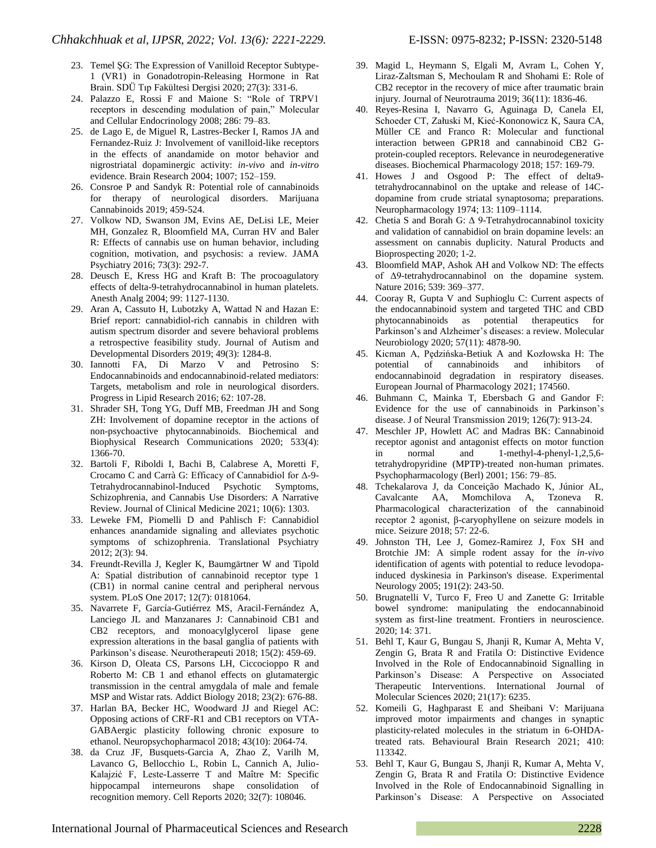- 23. Temel ŞG: The Expression of Vanilloid Receptor Subtype-1 (VR1) in Gonadotropin-Releasing Hormone in Rat Brain. SDÜ Tıp Fakültesi Dergisi 2020; 27(3): 331-6.
- 24. Palazzo E, Rossi F and Maione S: "Role of TRPV1 receptors in descending modulation of pain," Molecular and Cellular Endocrinology 2008; 286: 79–83.
- 25. de Lago E, de Miguel R, Lastres-Becker I, Ramos JA and Fernandez-Ruiz J: Involvement of vanilloid-like receptors in the effects of anandamide on motor behavior and nigrostriatal dopaminergic activity: *in-vivo* and *in-vitro* evidence. Brain Research 2004; 1007; 152–159.
- 26. Consroe P and Sandyk R: Potential role of cannabinoids for therapy of neurological disorders. Marijuana Cannabinoids 2019; 459-524.
- 27. Volkow ND, Swanson JM, Evins AE, DeLisi LE, Meier MH, Gonzalez R, Bloomfield MA, Curran HV and Baler R: Effects of cannabis use on human behavior, including cognition, motivation, and psychosis: a review. JAMA Psychiatry 2016; 73(3): 292-7.
- 28. Deusch E, Kress HG and Kraft B: The procoagulatory effects of delta-9-tetrahydrocannabinol in human platelets. Anesth Analg 2004; 99: 1127-1130.
- 29. Aran A, Cassuto H, Lubotzky A, Wattad N and Hazan E: Brief report: cannabidiol-rich cannabis in children with autism spectrum disorder and severe behavioral problems a retrospective feasibility study. Journal of Autism and Developmental Disorders 2019; 49(3): 1284-8.
- 30. Iannotti FA, Di Marzo V and Petrosino S: Endocannabinoids and endocannabinoid-related mediators: Targets, metabolism and role in neurological disorders. Progress in Lipid Research 2016; 62: 107-28.
- 31. Shrader SH, Tong YG, Duff MB, Freedman JH and Song ZH: Involvement of dopamine receptor in the actions of non-psychoactive phytocannabinoids. Biochemical and Biophysical Research Communications 2020; 533(4): 1366-70.
- 32. Bartoli F, Riboldi I, Bachi B, Calabrese A, Moretti F, Crocamo C and Carrà G: Efficacy of Cannabidiol for Δ-9- Tetrahydrocannabinol-Induced Psychotic Symptoms, Schizophrenia, and Cannabis Use Disorders: A Narrative Review. Journal of Clinical Medicine 2021; 10(6): 1303.
- 33. Leweke FM, Piomelli D and Pahlisch F: Cannabidiol enhances anandamide signaling and alleviates psychotic symptoms of schizophrenia. Translational Psychiatry 2012; 2(3): 94.
- 34. Freundt-Revilla J, Kegler K, Baumgärtner W and Tipold A: Spatial distribution of cannabinoid receptor type 1 (CB1) in normal canine central and peripheral nervous system. PLoS One 2017; 12(7): 0181064.
- 35. Navarrete F, García-Gutiérrez MS, Aracil-Fernández A, Lanciego JL and Manzanares J: Cannabinoid CB1 and CB2 receptors, and monoacylglycerol lipase gene expression alterations in the basal ganglia of patients with Parkinson's disease. Neurotherapeuti 2018; 15(2): 459-69.
- 36. Kirson D, Oleata CS, Parsons LH, Ciccocioppo R and Roberto M: CB 1 and ethanol effects on glutamatergic transmission in the central amygdala of male and female MSP and Wistar rats. Addict Biology 2018; 23(2): 676-88.
- 37. Harlan BA, Becker HC, Woodward JJ and Riegel AC: Opposing actions of CRF-R1 and CB1 receptors on VTA-GABAergic plasticity following chronic exposure to ethanol. Neuropsychopharmacol 2018; 43(10): 2064-74.
- 38. da Cruz JF, Busquets-Garcia A, Zhao Z, Varilh M, Lavanco G, Bellocchio L, Robin L, Cannich A, Julio-Kalajzić F, Leste-Lasserre T and Maître M: Specific hippocampal interneurons shape consolidation of recognition memory. Cell Reports 2020; 32(7): 108046.
- 39. Magid L, Heymann S, Elgali M, Avram L, Cohen Y, Liraz-Zaltsman S, Mechoulam R and Shohami E: Role of CB2 receptor in the recovery of mice after traumatic brain injury. Journal of Neurotrauma 2019; 36(11): 1836-46.
- 40. Reyes-Resina I, Navarro G, Aguinaga D, Canela EI, Schoeder CT, Załuski M, Kieć-Kononowicz K, Saura CA, Müller CE and Franco R: Molecular and functional interaction between GPR18 and cannabinoid CB2 Gprotein-coupled receptors. Relevance in neurodegenerative diseases. Biochemical Pharmacology 2018; 157: 169-79.
- 41. Howes J and Osgood P: The effect of delta9 tetrahydrocannabinol on the uptake and release of 14Cdopamine from crude striatal synaptosoma; preparations. Neuropharmacology 1974; 13: 1109–1114.
- 42. Chetia S and Borah G: Δ 9-Tetrahydrocannabinol toxicity and validation of cannabidiol on brain dopamine levels: an assessment on cannabis duplicity. Natural Products and Bioprospecting 2020; 1-2.
- 43. Bloomfield MAP, Ashok AH and Volkow ND: The effects of Δ9-tetrahydrocannabinol on the dopamine system. Nature 2016; 539: 369–377.
- 44. Cooray R, Gupta V and Suphioglu C: Current aspects of the endocannabinoid system and targeted THC and CBD phytocannabinoids as potential therapeutics for Parkinson's and Alzheimer's diseases: a review. Molecular Neurobiology 2020; 57(11): 4878-90.
- 45. Kicman A, Pędzińska-Betiuk A and Kozłowska H: The potential of cannabinoids and inhibitors of endocannabinoid degradation in respiratory diseases. European Journal of Pharmacology 2021; 174560.
- 46. Buhmann C, Mainka T, Ebersbach G and Gandor F: Evidence for the use of cannabinoids in Parkinson's disease. J of Neural Transmission 2019; 126(7): 913-24.
- 47. Meschler JP, Howlett AC and Madras BK: Cannabinoid receptor agonist and antagonist effects on motor function in normal and 1-methyl-4-phenyl-1,2,5,6 tetrahydropyridine (MPTP)-treated non-human primates. Psychopharmacology (Berl) 2001; 156: 79–85.
- 48. Tchekalarova J, da Conceição Machado K, Júnior AL, Cavalcante AA, Momchilova A, Tzoneva R. Pharmacological characterization of the cannabinoid receptor 2 agonist, β-caryophyllene on seizure models in mice. Seizure 2018; 57: 22-6.
- 49. Johnston TH, Lee J, Gomez-Ramirez J, Fox SH and Brotchie JM: A simple rodent assay for the *in-vivo* identification of agents with potential to reduce levodopainduced dyskinesia in Parkinson's disease. Experimental Neurology 2005; 191(2): 243-50.
- 50. Brugnatelli V, Turco F, Freo U and Zanette G: Irritable bowel syndrome: manipulating the endocannabinoid system as first-line treatment. Frontiers in neuroscience. 2020; 14: 371.
- 51. Behl T, Kaur G, Bungau S, Jhanji R, Kumar A, Mehta V, Zengin G, Brata R and Fratila O: Distinctive Evidence Involved in the Role of Endocannabinoid Signalling in Parkinson's Disease: A Perspective on Associated Therapeutic Interventions. International Journal of Molecular Sciences 2020; 21(17): 6235.
- 52. Komeili G, Haghparast E and Sheibani V: Marijuana improved motor impairments and changes in synaptic plasticity-related molecules in the striatum in 6-OHDAtreated rats. Behavioural Brain Research 2021; 410: 113342.
- 53. Behl T, Kaur G, Bungau S, Jhanji R, Kumar A, Mehta V, Zengin G, Brata R and Fratila O: Distinctive Evidence Involved in the Role of Endocannabinoid Signalling in Parkinson's Disease: A Perspective on Associated